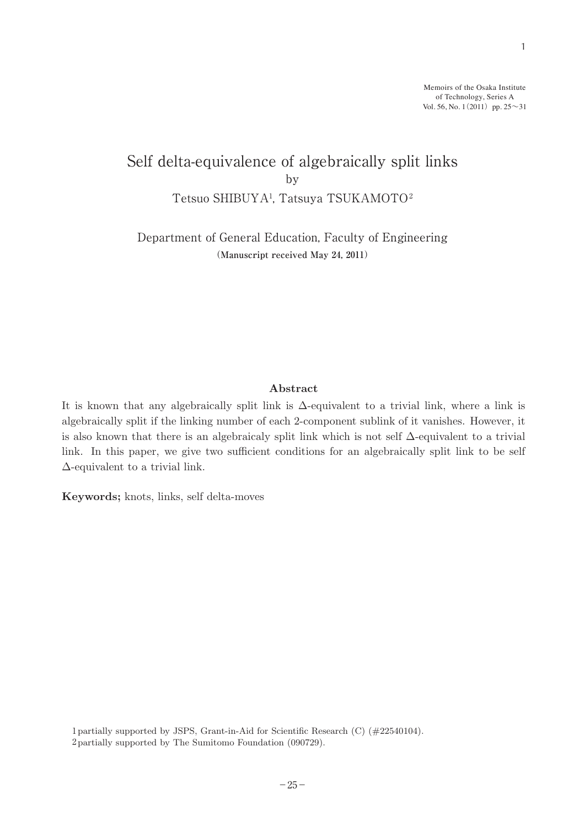Memoirs of the Osaka Institute of Technology, Series A Vol. 56, No. 1(2011) pp.  $25 \sim 31$ 

# Self delta-equivalence of algebraically split links by Tetsuo SHIBUYA1 , Tatsuya TSUKAMOTO2  $\mathbf{D}\mathbf{y}$

Department of General Education, Faculty of Engineering (Manuscript received May 24, 2011)

## Abstract

It is known that any algebraically split link is  $\Delta$ -equivalent to a trivial link, where a link is algebraically split if the linking number of each 2-component sublink of it vanishes. However, it is also known that there is an algebraicaly split link which is not self  $\Delta$ -equivalent to a trivial link. In this paper, we give two sufficient conditions for an algebraically split link to be self Δ-equivalent to a trivial link.

Keywords; knots, links, self delta-moves

1 partially supported by JSPS, Grant-in-Aid for Scientific Research (C) (#22540104). <sup>2</sup>partially supported by The Sumitomo Foundation (090729). 2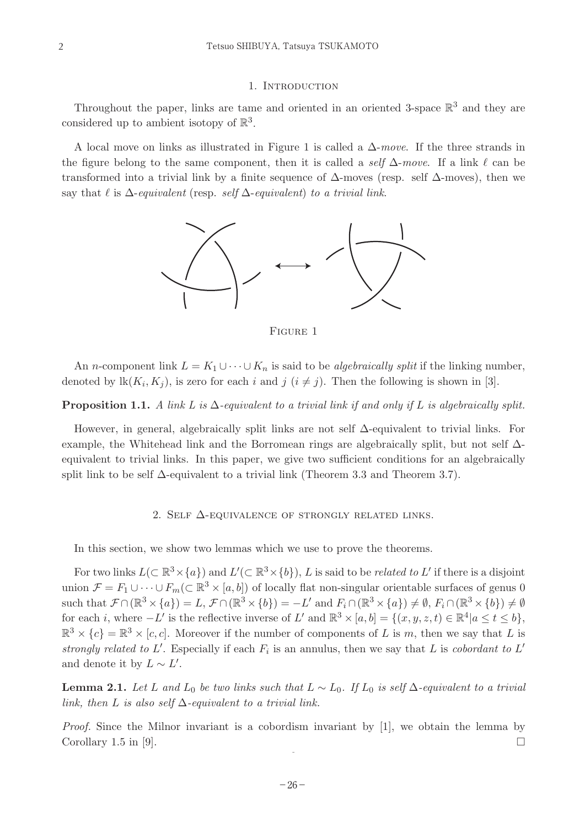### 1. INTRODUCTION

Throughout the paper, links are tame and oriented in an oriented 3-space  $\mathbb{R}^3$  and they are considered up to ambient isotopy of  $\mathbb{R}^3$ .

A local move on links as illustrated in Figure 1 is called a  $\Delta$ -move. If the three strands in the figure belong to the same component, then it is called a self  $\Delta$ -move. If a link  $\ell$  can be transformed into a trivial link by a finite sequence of  $\Delta$ -moves (resp. self  $\Delta$ -moves), then we say that  $\ell$  is  $\Delta$ -equivalent (resp. self  $\Delta$ -equivalent) to a trivial link.



Figure 1

An *n*-component link  $L = K_1 \cup \cdots \cup K_n$  is said to be *algebraically split* if the linking number, denoted by  $\text{lk}(K_i, K_j)$ , is zero for each i and j  $(i \neq j)$ . Then the following is shown in [3].

### **Proposition 1.1.** A link L is  $\Delta$ -equivalent to a trivial link if and only if L is algebraically split.

However, in general, algebraically split links are not self  $\Delta$ -equivalent to trivial links. For example, the Whitehead link and the Borromean rings are algebraically split, but not self Δequivalent to trivial links. In this paper, we give two sufficient conditions for an algebraically split link to be self  $\Delta$ -equivalent to a trivial link (Theorem 3.3 and Theorem 3.7).

#### 2. SELF  $\Delta$ -EQUIVALENCE OF STRONGLY RELATED LINKS.

In this section, we show two lemmas which we use to prove the theorems.

For two links  $L(\subset \mathbb{R}^3 \times \{a\})$  and  $L'(\subset \mathbb{R}^3 \times \{b\})$ , L is said to be *related to* L' if there is a disjoint union  $\mathcal{F} = F_1 \cup \cdots \cup F_m(\subset \mathbb{R}^3 \times [a, b])$  of locally flat non-singular orientable surfaces of genus 0 such that  $\mathcal{F} \cap (\mathbb{R}^3 \times \{a\}) = L$ ,  $\mathcal{F} \cap (\mathbb{R}^3 \times \{b\}) = -L'$  and  $F_i \cap (\mathbb{R}^3 \times \{a\}) \neq \emptyset$ ,  $F_i \cap (\mathbb{R}^3 \times \{b\}) \neq \emptyset$ for each i, where  $-L'$  is the reflective inverse of L' and  $\mathbb{R}^3 \times [a, b] = \{(x, y, z, t) \in \mathbb{R}^4 | a \le t \le b\}$ ,  $\mathbb{R}^3 \times \{c\} = \mathbb{R}^3 \times [c, c]$ . Moreover if the number of components of L is m, then we say that L is strongly related to L'. Especially if each  $F_i$  is an annulus, then we say that L is cobordant to L' and denote it by  $L \sim L'$ .

**Lemma 2.1.** Let L and L<sub>0</sub> be two links such that  $L \sim L_0$ . If L<sub>0</sub> is self  $\Delta$ -equivalent to a trivial link, then L is also self  $\Delta$ -equivalent to a trivial link.

*Proof.* Since the Milnor invariant is a cobordism invariant by  $[1]$ , we obtain the lemma by Corollary 1.5 in [9].

2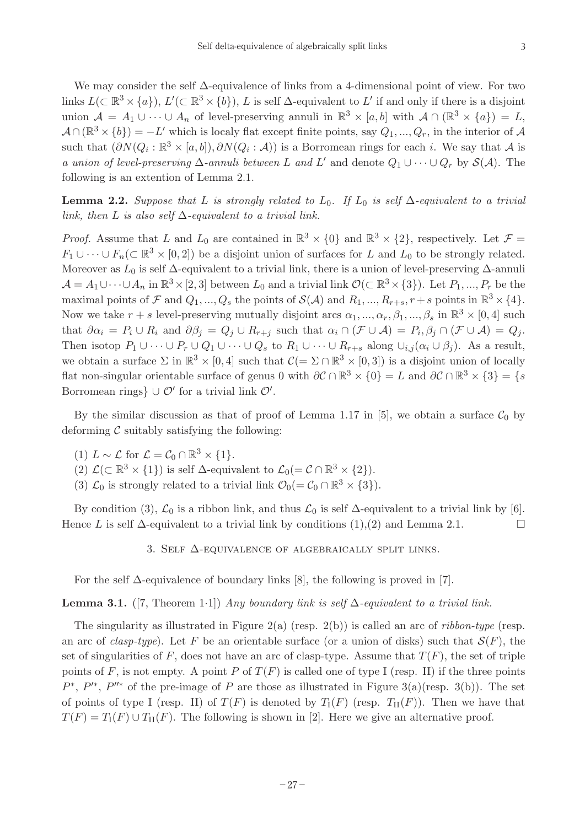We may consider the self  $\Delta$ -equivalence of links from a 4-dimensional point of view. For two links  $L(\subset \mathbb{R}^3 \times \{a\})$ ,  $L'(\subset \mathbb{R}^3 \times \{b\})$ , L is self  $\Delta$ -equivalent to L' if and only if there is a disjoint union  $\mathcal{A} = A_1 \cup \cdots \cup A_n$  of level-preserving annuli in  $\mathbb{R}^3 \times [a, b]$  with  $\mathcal{A} \cap (\mathbb{R}^3 \times \{a\}) = L$ ,  $\mathcal{A} \cap (\mathbb{R}^3 \times \{b\}) = -L'$  which is localy flat except finite points, say  $Q_1, ..., Q_r$ , in the interior of A such that  $(\partial N(Q_i : \mathbb{R}^3 \times [a, b]), \partial N(Q_i : A))$  is a Borromean rings for each i. We say that A is a union of level-preserving  $\Delta$ -annuli between L and L' and denote  $Q_1 \cup \cdots \cup Q_r$  by  $\mathcal{S}(\mathcal{A})$ . The following is an extention of Lemma 2.1.

**Lemma 2.2.** Suppose that L is strongly related to  $L_0$ . If  $L_0$  is self  $\Delta$ -equivalent to a trivial link, then L is also self  $\Delta$ -equivalent to a trivial link.

*Proof.* Assume that L and  $L_0$  are contained in  $\mathbb{R}^3 \times \{0\}$  and  $\mathbb{R}^3 \times \{2\}$ , respectively. Let  $\mathcal{F} =$  $F_1 \cup \cdots \cup F_n(\subset \mathbb{R}^3 \times [0,2])$  be a disjoint union of surfaces for L and  $L_0$  to be strongly related. Moreover as  $L_0$  is self  $\Delta$ -equivalent to a trivial link, there is a union of level-preserving  $\Delta$ -annuli  $\mathcal{A} = A_1 \cup \cdots \cup A_n$  in  $\mathbb{R}^3 \times [2, 3]$  between  $L_0$  and a trivial link  $\mathcal{O}(\subset \mathbb{R}^3 \times \{3\})$ . Let  $P_1, ..., P_r$  be the maximal points of F and  $Q_1, ..., Q_s$  the points of  $\mathcal{S}(\mathcal{A})$  and  $R_1, ..., R_{r+s}, r+s$  points in  $\mathbb{R}^3 \times \{4\}$ . Now we take  $r + s$  level-preserving mutually disjoint arcs  $\alpha_1, ..., \alpha_r, \beta_1, ..., \beta_s$  in  $\mathbb{R}^3 \times [0, 4]$  such that  $\partial \alpha_i = P_i \cup R_i$  and  $\partial \beta_j = Q_j \cup R_{r+j}$  such that  $\alpha_i \cap (\mathcal{F} \cup \mathcal{A}) = P_i, \beta_j \cap (\mathcal{F} \cup \mathcal{A}) = Q_j$ . Then isotop  $P_1 \cup \cdots \cup P_r \cup Q_1 \cup \cdots \cup Q_s$  to  $R_1 \cup \cdots \cup R_{r+s}$  along  $\cup_{i,j} (\alpha_i \cup \beta_j)$ . As a result, we obtain a surface  $\Sigma$  in  $\mathbb{R}^3 \times [0, 4]$  such that  $\mathcal{C} (= \Sigma \cap \mathbb{R}^3 \times [0, 3])$  is a disjoint union of locally flat non-singular orientable surface of genus 0 with  $\partial \mathcal{C} \cap \mathbb{R}^3 \times \{0\} = L$  and  $\partial \mathcal{C} \cap \mathbb{R}^3 \times \{3\} = \{s$ Borromean rings}  $\cup$   $\mathcal{O}'$  for a trivial link  $\mathcal{O}'$ .

By the similar discussion as that of proof of Lemma 1.17 in [5], we obtain a surface  $C_0$  by deforming  $\mathcal C$  suitably satisfying the following:

- (1)  $L \sim \mathcal{L}$  for  $\mathcal{L} = \mathcal{C}_0 \cap \mathbb{R}^3 \times \{1\}.$
- (2)  $\mathcal{L}(\subset \mathbb{R}^3 \times \{1\})$  is self  $\Delta$ -equivalent to  $\mathcal{L}_0(=\mathcal{C} \cap \mathbb{R}^3 \times \{2\}).$
- (3)  $\mathcal{L}_0$  is strongly related to a trivial link  $\mathcal{O}_0(=\mathcal{C}_0 \cap \mathbb{R}^3 \times \{3\}).$

By condition (3),  $\mathcal{L}_0$  is a ribbon link, and thus  $\mathcal{L}_0$  is self  $\Delta$ -equivalent to a trivial link by [6]. Hence L is self  $\Delta$ -equivalent to a trivial link by conditions  $(1),(2)$  and Lemma 2.1.

3. SELF  $\Delta$ -EQUIVALENCE OF ALGEBRAICALLY SPLIT LINKS.

For the self  $\Delta$ -equivalence of boundary links [8], the following is proved in [7].

**Lemma 3.1.** ([7, Theorem 1·1]) Any boundary link is self  $\Delta$ -equivalent to a trivial link.

The singularity as illustrated in Figure 2(a) (resp. 2(b)) is called an arc of *ribbon-type* (resp. an arc of *clasp-type*). Let F be an orientable surface (or a union of disks) such that  $S(F)$ , the set of singularities of F, does not have an arc of clasp-type. Assume that  $T(F)$ , the set of triple points of F, is not empty. A point P of  $T(F)$  is called one of type I (resp. II) if the three points  $P^*$ ,  $P'^*$ ,  $P''^*$  of the pre-image of P are those as illustrated in Figure 3(a)(resp. 3(b)). The set of points of type I (resp. II) of  $T(F)$  is denoted by  $T_1(F)$  (resp.  $T_1(F)$ ). Then we have that  $T(F) = T_I(F) \cup T_{II}(F)$ . The following is shown in [2]. Here we give an alternative proof.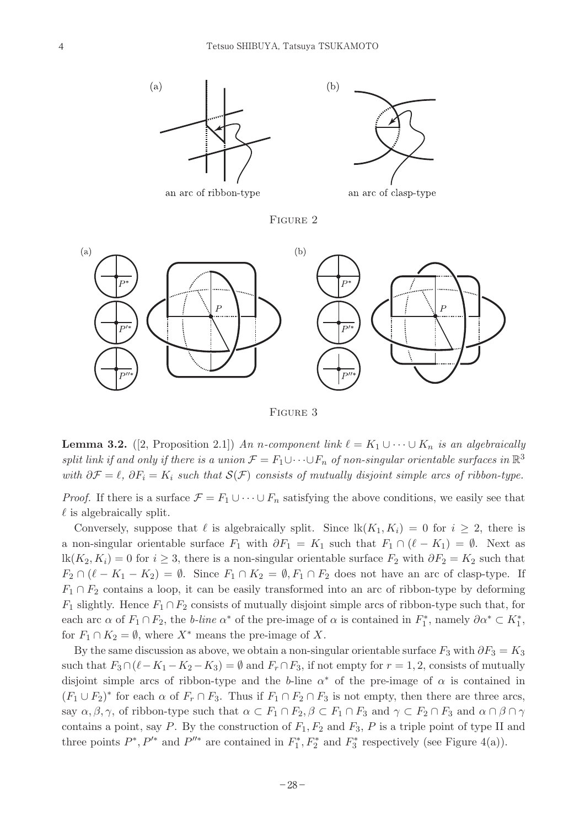

FIGURE 2



Figure 3

**Lemma 3.2.** ([2, Proposition 2.1]) An n-component link  $\ell = K_1 \cup \cdots \cup K_n$  is an algebraically split link if and only if there is a union  $\mathcal{F} = F_1 \cup \cdots \cup F_n$  of non-singular orientable surfaces in  $\mathbb{R}^3$ with  $\partial \mathcal{F} = \ell$ ,  $\partial F_i = K_i$  such that  $\mathcal{S}(\mathcal{F})$  consists of mutually disjoint simple arcs of ribbon-type.

*Proof.* If there is a surface  $\mathcal{F} = F_1 \cup \cdots \cup F_n$  satisfying the above conditions, we easily see that  $\ell$  is algebraically split.

Conversely, suppose that  $\ell$  is algebraically split. Since  $lk(K_1, K_i) = 0$  for  $i \geq 2$ , there is a non-singular orientable surface  $F_1$  with  $\partial F_1 = K_1$  such that  $F_1 \cap (\ell - K_1) = \emptyset$ . Next as  $lk(K_2, K_i) = 0$  for  $i \geq 3$ , there is a non-singular orientable surface  $F_2$  with  $\partial F_2 = K_2$  such that  $F_2 \cap (\ell - K_1 - K_2) = \emptyset$ . Since  $F_1 \cap K_2 = \emptyset$ ,  $F_1 \cap F_2$  does not have an arc of clasp-type. If  $F_1 \cap F_2$  contains a loop, it can be easily transformed into an arc of ribbon-type by deforming  $F_1$  slightly. Hence  $F_1 \cap F_2$  consists of mutually disjoint simple arcs of ribbon-type such that, for each arc  $\alpha$  of  $F_1 \cap F_2$ , the *b*-line  $\alpha^*$  of the pre-image of  $\alpha$  is contained in  $F_1^*$ , namely  $\partial \alpha^* \subset K_1^*$ , for  $F_1 \cap K_2 = \emptyset$ , where  $X^*$  means the pre-image of X.

By the same discussion as above, we obtain a non-singular orientable surface  $F_3$  with  $\partial F_3 = K_3$ such that  $F_3 \cap (\ell - K_1 - K_2 - K_3) = \emptyset$  and  $F_r \cap F_3$ , if not empty for  $r = 1, 2$ , consists of mutually disjoint simple arcs of ribbon-type and the b-line  $\alpha^*$  of the pre-image of  $\alpha$  is contained in  $(F_1 \cup F_2)^*$  for each  $\alpha$  of  $F_r \cap F_3$ . Thus if  $F_1 \cap F_2 \cap F_3$  is not empty, then there are three arcs, say  $\alpha, \beta, \gamma$ , of ribbon-type such that  $\alpha \subset F_1 \cap F_2$ ,  $\beta \subset F_1 \cap F_3$  and  $\gamma \subset F_2 \cap F_3$  and  $\alpha \cap \beta \cap \gamma$ contains a point, say P. By the construction of  $F_1, F_2$  and  $F_3$ , P is a triple point of type II and three points  $P^*, P'^*$  and  $P''^*$  are contained in  $F_1^*, F_2^*$  and  $F_3^*$  respectively (see Figure 4(a)).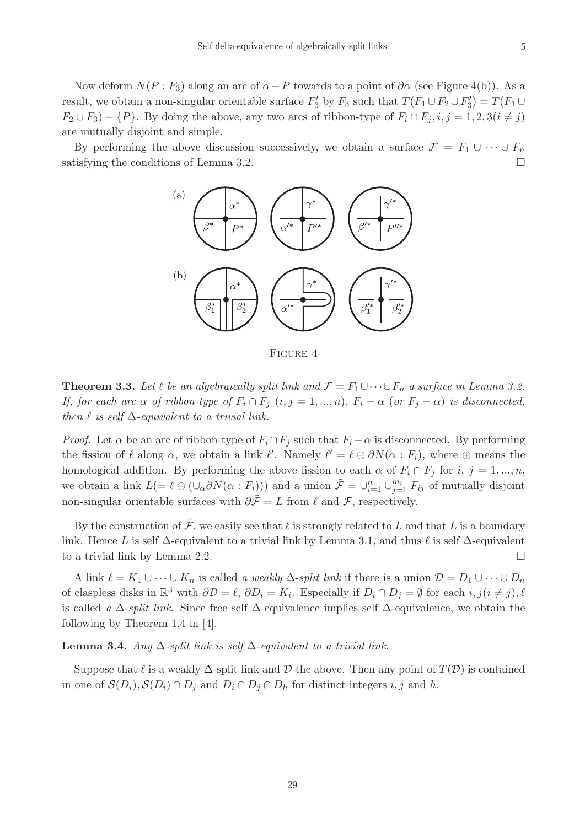Now deform  $N(P : F_3)$  along an arc of  $\alpha - P$  towards to a point of  $\partial \alpha$  (see Figure 4(b)). As a result, we obtain a non-singular orientable surface  $F'_3$  by  $F_3$  such that  $T(F_1 \cup F_2 \cup F'_3) = T(F_1 \cup F'_2)$  $F_2 \cup F_3$ ) –  $\{P\}$ . By doing the above, any two arcs of ribbon-type of  $F_i \cap F_j, i, j = 1, 2, 3(i \neq j)$ are mutually disjoint and simple.

By performing the above discussion successively, we obtain a surface  $\mathcal{F} = F_1 \cup \cdots \cup F_n$ satisfying the conditions of Lemma 3.2.



Figure 4

**Theorem 3.3.** Let  $\ell$  be an algebraically split link and  $\mathcal{F} = F_1 \cup \cdots \cup F_n$  a surface in Lemma 3.2. If, for each arc  $\alpha$  of ribbon-type of  $F_i \cap F_j$   $(i, j = 1, ..., n)$ ,  $F_i - \alpha$  (or  $F_j - \alpha$ ) is disconnected, then  $\ell$  is self  $\Delta$ -equivalent to a trivial link.

*Proof.* Let  $\alpha$  be an arc of ribbon-type of  $F_i \cap F_j$  such that  $F_i - \alpha$  is disconnected. By performing the fission of  $\ell$  along  $\alpha$ , we obtain a link  $\ell'$ . Namely  $\ell' = \ell \oplus \partial N(\alpha : F_i)$ , where  $\oplus$  means the homological addition. By performing the above fission to each  $\alpha$  of  $F_i \cap F_j$  for i,  $j = 1, ..., n$ , we obtain a link  $L (= \ell \oplus (\cup_{\alpha} \partial N(\alpha : F_i)))$  and a union  $\tilde{\mathcal{F}} = \cup_{i=1}^n \cup_{j=1}^{m_i} F_{ij}$  of mutually disjoint non-singular orientable surfaces with  $\partial \tilde{\mathcal{F}} = L$  from  $\ell$  and  $\mathcal{F}$ , respectively.

By the construction of  $\tilde{\mathcal{F}}$ , we easily see that  $\ell$  is strongly related to L and that L is a boundary link. Hence L is self  $\Delta$ -equivalent to a trivial link by Lemma 3.1, and thus  $\ell$  is self  $\Delta$ -equivalent to a trivial link by Lemma 2.2.

A link  $\ell = K_1 \cup \cdots \cup K_n$  is called a weakly  $\Delta$ -split link if there is a union  $\mathcal{D} = D_1 \cup \cdots \cup D_n$ of claspless disks in  $\mathbb{R}^3$  with  $\partial \mathcal{D} = \ell$ ,  $\partial D_i = K_i$ . Especially if  $D_i \cap D_j = \emptyset$  for each  $i, j(i \neq j)$ ,  $\ell$ is called a  $\Delta$ -split link. Since free self  $\Delta$ -equivalence implies self  $\Delta$ -equivalence, we obtain the following by Theorem 1.4 in [4].

## **Lemma 3.4.** Any  $\Delta$ -split link is self  $\Delta$ -equivalent to a trivial link.

Suppose that  $\ell$  is a weakly  $\Delta$ -split link and  $\mathcal D$  the above. Then any point of  $T(\mathcal D)$  is contained in one of  $\mathcal{S}(D_i)$ ,  $\mathcal{S}(D_i) \cap D_j$  and  $D_i \cap D_j \cap D_h$  for distinct integers i, j and h.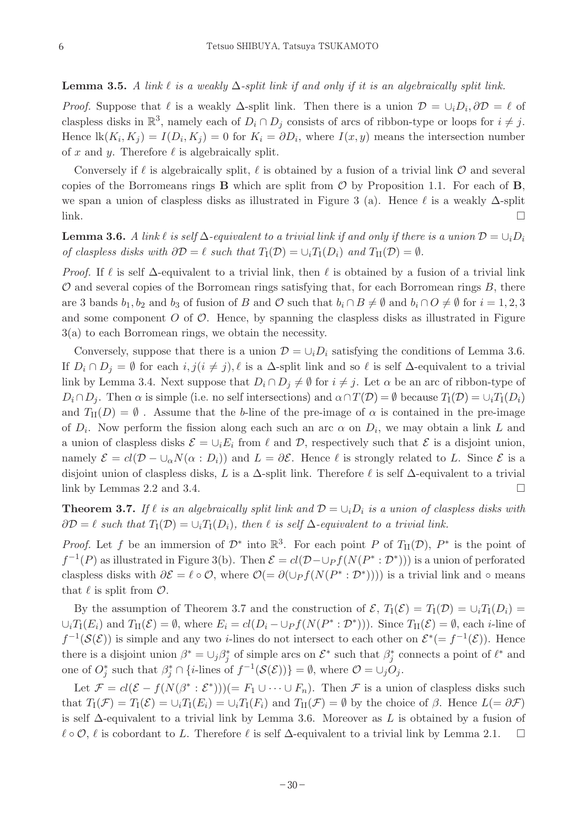**Lemma 3.5.** A link  $\ell$  is a weakly  $\Delta$ -split link if and only if it is an algebraically split link.

*Proof.* Suppose that  $\ell$  is a weakly  $\Delta$ -split link. Then there is a union  $\mathcal{D} = \cup_i D_i$ ,  $\partial \mathcal{D} = \ell$  of claspless disks in  $\mathbb{R}^3$ , namely each of  $D_i \cap D_j$  consists of arcs of ribbon-type or loops for  $i \neq j$ . Hence  $\text{lk}(K_i, K_j) = I(D_i, K_j) = 0$  for  $K_i = \partial D_i$ , where  $I(x, y)$  means the intersection number of x and y. Therefore  $\ell$  is algebraically split.

Conversely if  $\ell$  is algebraically split,  $\ell$  is obtained by a fusion of a trivial link  $\mathcal O$  and several copies of the Borromeans rings  $B$  which are split from  $O$  by Proposition 1.1. For each of  $B$ , we span a union of claspless disks as illustrated in Figure 3 (a). Hence  $\ell$  is a weakly  $\Delta$ -split  $\Box$ 

**Lemma 3.6.** A link  $\ell$  is self  $\Delta$ -equivalent to a trivial link if and only if there is a union  $\mathcal{D} = \cup_i D_i$ of claspless disks with  $\partial \mathcal{D} = \ell$  such that  $T_{\rm I}(\mathcal{D}) = \cup_i T_{\rm I}(D_i)$  and  $T_{\rm II}(\mathcal{D}) = \emptyset$ .

*Proof.* If  $\ell$  is self  $\Delta$ -equivalent to a trivial link, then  $\ell$  is obtained by a fusion of a trivial link  $\mathcal O$  and several copies of the Borromean rings satisfying that, for each Borromean rings  $B$ , there are 3 bands  $b_1, b_2$  and  $b_3$  of fusion of B and O such that  $b_i \cap B \neq \emptyset$  and  $b_i \cap O \neq \emptyset$  for  $i = 1, 2, 3$ and some component  $O$  of  $O$ . Hence, by spanning the claspless disks as illustrated in Figure 3(a) to each Borromean rings, we obtain the necessity.

Conversely, suppose that there is a union  $\mathcal{D} = \bigcup_i D_i$  satisfying the conditions of Lemma 3.6. If  $D_i \cap D_j = \emptyset$  for each  $i, j(i \neq j), \ell$  is a  $\Delta$ -split link and so  $\ell$  is self  $\Delta$ -equivalent to a trivial link by Lemma 3.4. Next suppose that  $D_i \cap D_j \neq \emptyset$  for  $i \neq j$ . Let  $\alpha$  be an arc of ribbon-type of  $D_i \cap D_j$ . Then  $\alpha$  is simple (i.e. no self intersections) and  $\alpha \cap T(\mathcal{D}) = \emptyset$  because  $T_1(\mathcal{D}) = \cup_i T_1(D_i)$ and  $T_{\text{II}}(D) = \emptyset$ . Assume that the b-line of the pre-image of  $\alpha$  is contained in the pre-image of  $D_i$ . Now perform the fission along each such an arc  $\alpha$  on  $D_i$ , we may obtain a link L and a union of claspless disks  $\mathcal{E} = \cup_i E_i$  from  $\ell$  and  $\mathcal{D}$ , respectively such that  $\mathcal{E}$  is a disjoint union, namely  $\mathcal{E} = cl(\mathcal{D} - \cup_{\alpha} N(\alpha : D_i))$  and  $L = \partial \mathcal{E}$ . Hence  $\ell$  is strongly related to L. Since  $\mathcal{E}$  is a disjoint union of claspless disks, L is a  $\Delta$ -split link. Therefore  $\ell$  is self  $\Delta$ -equivalent to a trivial link by Lemmas 2.2 and 3.4.

**Theorem 3.7.** If  $\ell$  is an algebraically split link and  $\mathcal{D} = \bigcup_i D_i$  is a union of claspless disks with  $\partial \mathcal{D} = \ell$  such that  $T_1(\mathcal{D}) = \bigcup_i T_1(D_i)$ , then  $\ell$  is self  $\Delta$ -equivalent to a trivial link.

*Proof.* Let f be an immersion of  $\mathcal{D}^*$  into  $\mathbb{R}^3$ . For each point P of  $T_{\text{II}}(\mathcal{D})$ ,  $P^*$  is the point of  $f^{-1}(P)$  as illustrated in Figure 3(b). Then  $\mathcal{E} = cl(\mathcal{D}-\bigcup_{P} f(N(P^*:\mathcal{D}^*))$  is a union of perforated claspless disks with  $\partial \mathcal{E} = \ell \circ \mathcal{O}$ , where  $\mathcal{O}(\ell) = \partial(\cup_P f(N(P^* : \mathcal{D}^*)))$  is a trivial link and ∘ means that  $\ell$  is split from  $\mathcal{O}$ .

By the assumption of Theorem 3.7 and the construction of  $\mathcal{E}, T_1(\mathcal{E}) = T_1(\mathcal{D}) = \cup_i T_1(D_i)$  $\cup_i T_I(E_i)$  and  $T_{II}(\mathcal{E}) = \emptyset$ , where  $E_i = cl(D_i - \cup_P f(N(P^* : \mathcal{D}^*)))$ . Since  $T_{II}(\mathcal{E}) = \emptyset$ , each *i*-line of  $f^{-1}(\mathcal{S}(\mathcal{E}))$  is simple and any two *i*-lines do not intersect to each other on  $\mathcal{E}^*(-f^{-1}(\mathcal{E}))$ . Hence there is a disjoint union  $\beta^* = \cup_j \beta^*_j$  of simple arcs on  $\mathcal{E}^*$  such that  $\beta^*_j$  connects a point of  $\ell^*$  and one of  $O_j^*$  such that  $\beta_j^* \cap \{i\text{-lines of } f^{-1}(\mathcal{S}(\mathcal{E}))\} = \emptyset$ , where  $\mathcal{O} = \cup_j O_j$ .

Let  $\mathcal{F} = cl(\mathcal{E} - f(N(\beta^* : \mathcal{E}^*))) (= F_1 \cup \cdots \cup F_n)$ . Then  $\mathcal{F}$  is a union of claspless disks such that  $T_1(\mathcal{F}) = T_1(\mathcal{E}) = \cup_i T_1(E_i) = \cup_i T_1(F_i)$  and  $T_1(\mathcal{F}) = \emptyset$  by the choice of  $\beta$ . Hence  $L(=\partial \mathcal{F})$ is self  $\Delta$ -equivalent to a trivial link by Lemma 3.6. Moreover as L is obtained by a fusion of  $\ell \circ \mathcal{O}, \ell$  is cobordant to L. Therefore  $\ell$  is self  $\Delta$ -equivalent to a trivial link by Lemma 2.1.  $\Box$